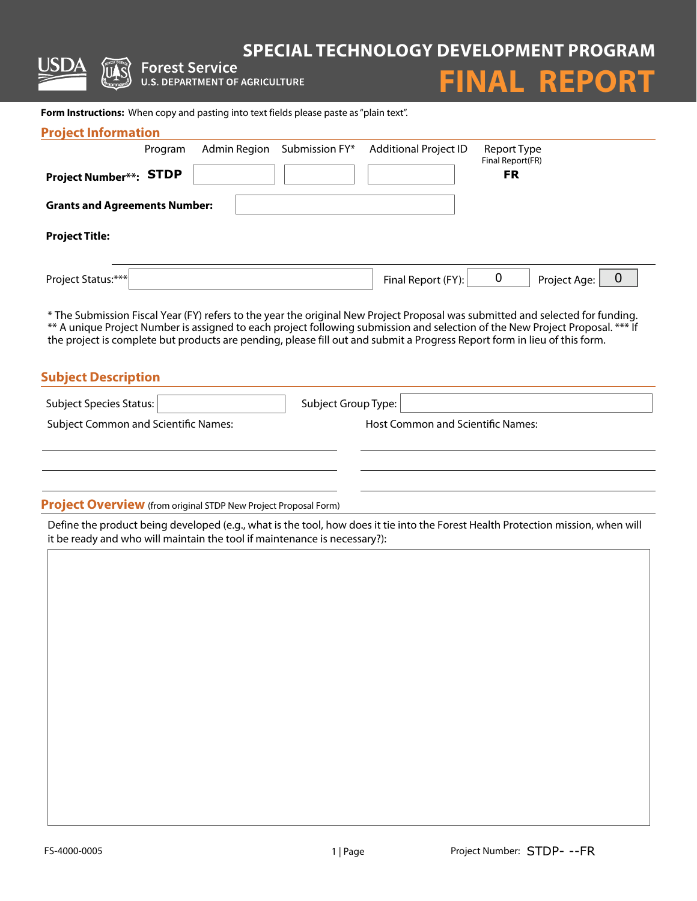# **SPECIAL TECHNOLOGY DEVELOPMENT PROGRAM**<br>
Forest Service<br>
U.S. DEPARTMENT OF AGRICULTURE<br>
U.S. DEPARTMENT OF AGRICULTURE



Form Instructions: When copy and pasting into text fields please paste as "plain text".

| <b>Project Information</b>           |         |              |                |                              |                                                                                                                                                                                                                                                                 |
|--------------------------------------|---------|--------------|----------------|------------------------------|-----------------------------------------------------------------------------------------------------------------------------------------------------------------------------------------------------------------------------------------------------------------|
|                                      | Program | Admin Region | Submission FY* | <b>Additional Project ID</b> | Report Type<br>Final Report(FR)                                                                                                                                                                                                                                 |
| <b>Project Number**: STDP</b>        |         |              |                |                              | <b>FR</b>                                                                                                                                                                                                                                                       |
| <b>Grants and Agreements Number:</b> |         |              |                |                              |                                                                                                                                                                                                                                                                 |
| <b>Project Title:</b>                |         |              |                |                              |                                                                                                                                                                                                                                                                 |
| Project Status:***                   |         |              |                | Final Report (FY):           | 0<br>0<br>Project Age:                                                                                                                                                                                                                                          |
|                                      |         |              |                |                              | * The Submission Fiscal Year (FY) refers to the year the original New Project Proposal was submitted and selected for funding.<br>** A unique Project Number is assigned to each project following submission and selection of the New Project Proposal. *** If |

the project is complete but products are pending, please fill out and submit a Progress Report form in lieu of this form.

#### **Subject Description**

| Subject Species Status:                     | Subject Group Type:                      |
|---------------------------------------------|------------------------------------------|
| <b>Subject Common and Scientific Names:</b> | <b>Host Common and Scientific Names:</b> |
|                                             |                                          |
|                                             |                                          |
|                                             |                                          |
| .                                           |                                          |

**Project Overview** (from original STDP New Project Proposal Form)

Define the product being developed (e.g., what is the tool, how does it tie into the Forest Health Protection mission, when will it be ready and who will maintain the tool if maintenance is necessary?):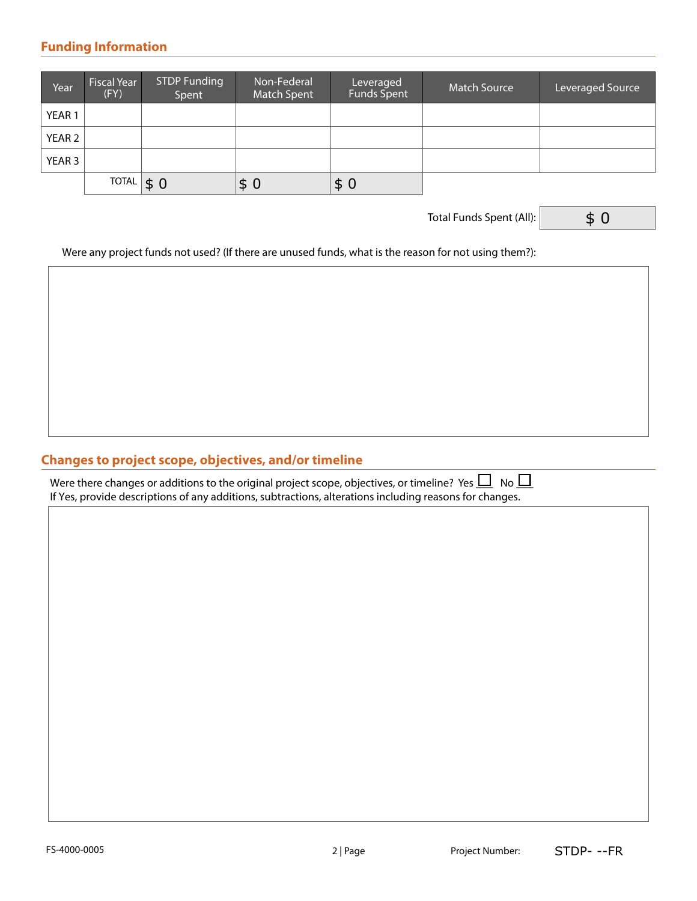#### **Funding Information**

| Year              | <b>Fiscal Year</b><br>(FY) | <b>STDP Funding</b><br>Spent | Non-Federal<br>Match Spent | Leveraged<br>Funds Spent | <b>Match Source</b> | Leveraged Source |
|-------------------|----------------------------|------------------------------|----------------------------|--------------------------|---------------------|------------------|
| YEAR <sub>1</sub> |                            |                              |                            |                          |                     |                  |
| YEAR 2            |                            |                              |                            |                          |                     |                  |
| YEAR 3            |                            |                              |                            |                          |                     |                  |
|                   | <b>TOTAL</b>               | \$0                          | \$<br>0                    | \$0                      |                     |                  |

Total Funds Spent (All):

\$ 0

Were any project funds not used? (If there are unused funds, what is the reason for not using them?):

# **Changes to project scope, objectives, and/or timeline**

Were there changes or additions to the original project scope, objectives, or timeline? Yes  $\Box$  No  $\Box$ If Yes, provide descriptions of any additions, subtractions, alterations including reasons for changes.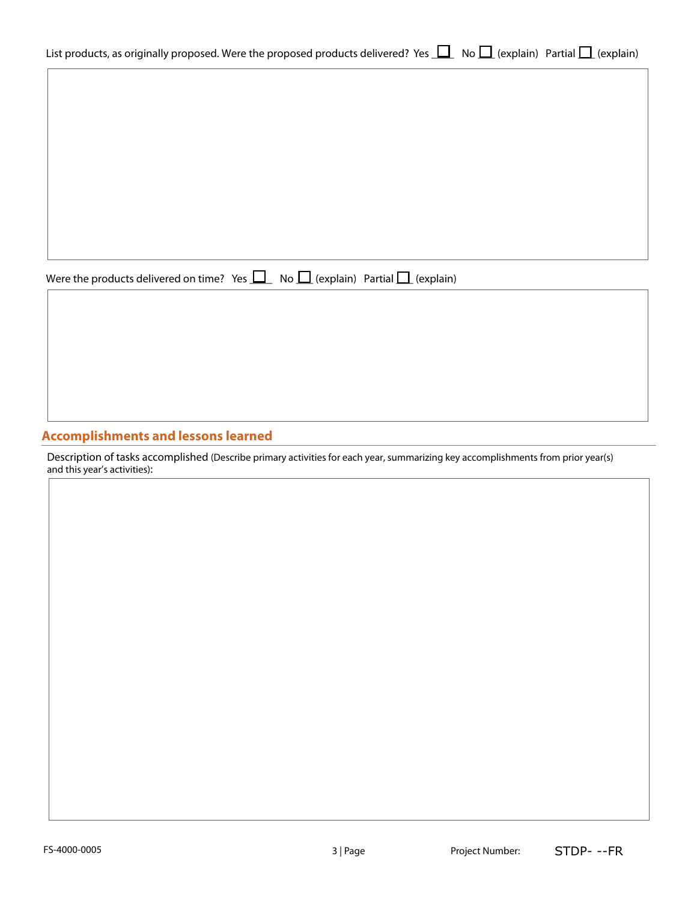| ist products, as originally proposed. Were the proposed products delivered? Yes $\Box$ No $\Box$ (explain) Partial $\Box$ (explain) |  |  |
|-------------------------------------------------------------------------------------------------------------------------------------|--|--|
|                                                                                                                                     |  |  |

Were the products delivered on time? Yes  $\Box$  No  $\Box$  (explain) Partial  $\Box$  (explain)

# **Accomplishments and lessons learned**

Description of tasks accomplished (Describe primary activities for each year, summarizing key accomplishments from prior year(s) and this year's activities):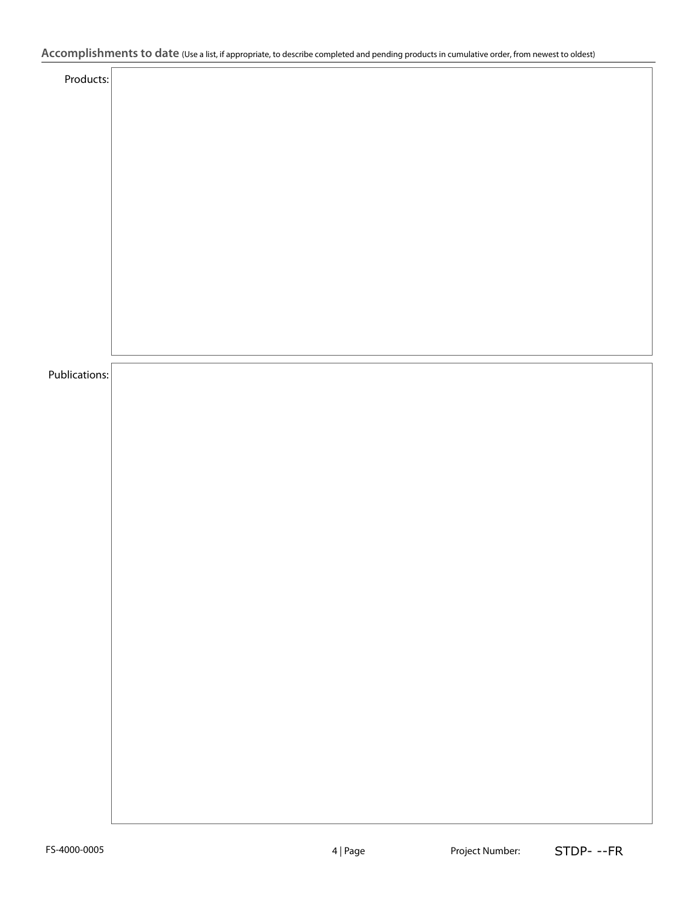# **Accomplishments to date** (Use a list, if appropriate, to describe completed and pending products in cumulative order, from newest to oldest)

| Products:     |  |
|---------------|--|
|               |  |
|               |  |
|               |  |
|               |  |
|               |  |
|               |  |
|               |  |
|               |  |
|               |  |
|               |  |
|               |  |
|               |  |
|               |  |
|               |  |
|               |  |
|               |  |
|               |  |
| Publications: |  |
|               |  |
|               |  |
|               |  |
|               |  |
|               |  |
|               |  |
|               |  |
|               |  |
|               |  |
|               |  |
|               |  |
|               |  |
|               |  |
|               |  |
|               |  |
|               |  |
|               |  |
|               |  |
|               |  |
|               |  |
|               |  |
|               |  |
|               |  |
|               |  |
|               |  |
|               |  |
|               |  |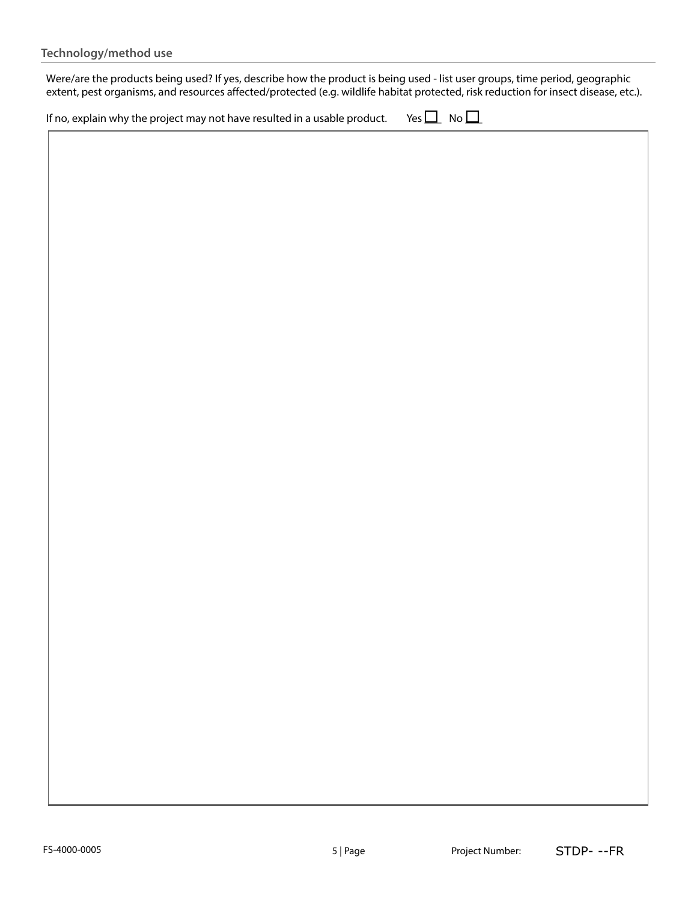Were/are the products being used? If yes, describe how the product is being used - list user groups, time period, geographic extent, pest organisms, and resources affected/protected (e.g. wildlife habitat protected, risk reduction for insect disease, etc.).

| If no, explain why the project may not have resulted in a usable product. Yes $\Box$ No $\Box$ |  |  |
|------------------------------------------------------------------------------------------------|--|--|
|------------------------------------------------------------------------------------------------|--|--|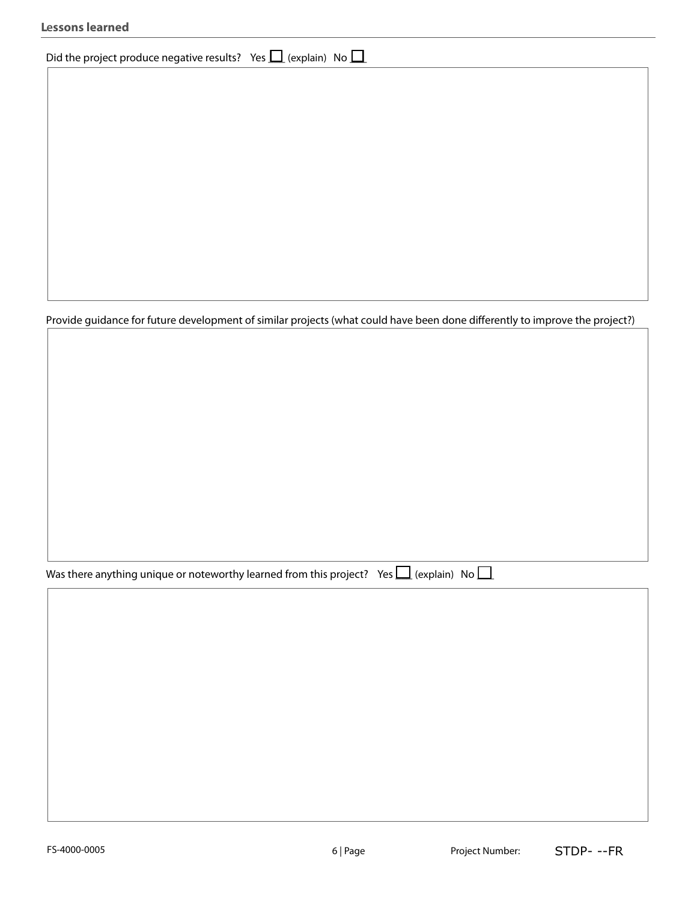| <b>Lessons learned</b> |  |
|------------------------|--|
|------------------------|--|

# Did the project produce negative results? Yes  $\Box$  (explain) No  $\Box$

Provide guidance for future development of similar projects (what could have been done differently to improve the project?)

Was there anything unique or noteworthy learned from this project? Yes  $\Box$  (explain) No  $\Box$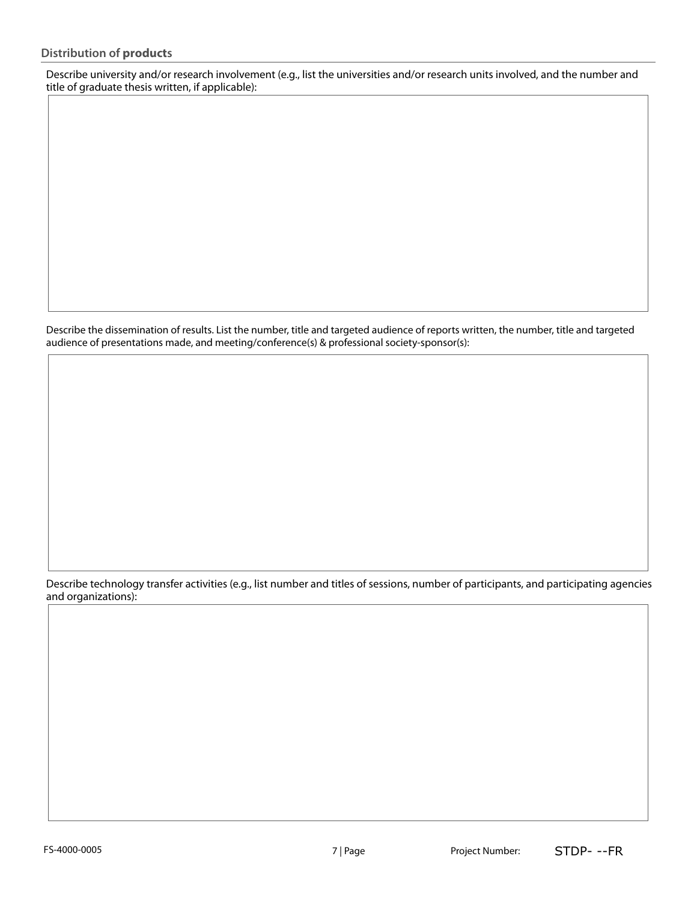Describe university and/or research involvement (e.g., list the universities and/or research units involved, and the number and title of graduate thesis written, if applicable):

Describe the dissemination of results. List the number, title and targeted audience of reports written, the number, title and targeted audience of presentations made, and meeting/conference(s) & professional society-sponsor(s):

Describe technology transfer activities (e.g., list number and titles of sessions, number of participants, and participating agencies and organizations):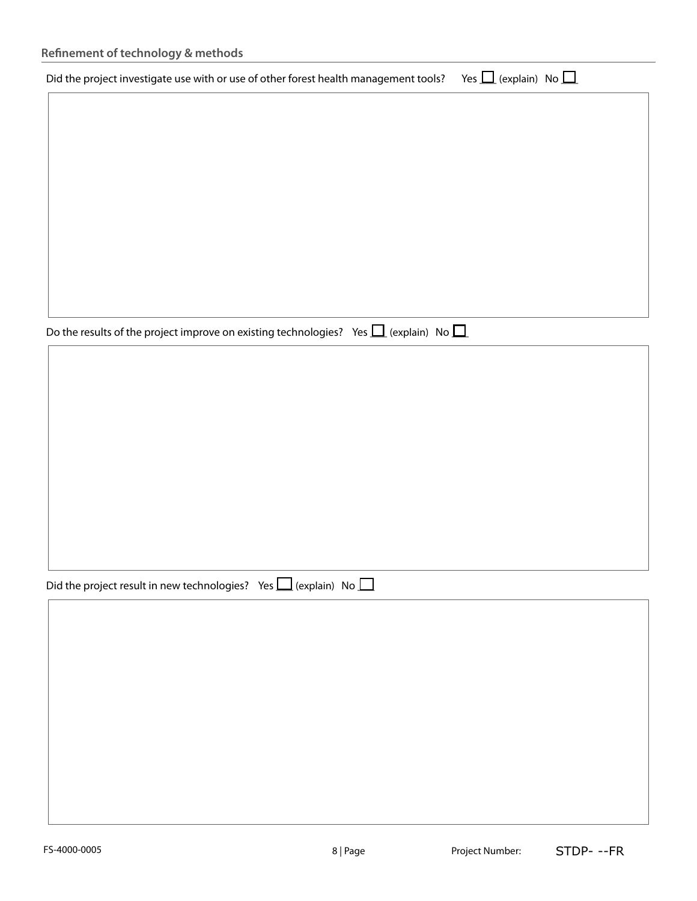| Refinement of technology & methods                                                   |                                |
|--------------------------------------------------------------------------------------|--------------------------------|
| Did the project investigate use with or use of other forest health management tools? | Yes $\Box$ (explain) No $\Box$ |
|                                                                                      |                                |
|                                                                                      |                                |
|                                                                                      |                                |
|                                                                                      |                                |
|                                                                                      |                                |
|                                                                                      |                                |
|                                                                                      |                                |
|                                                                                      |                                |

Do the results of the project improve on existing technologies? Yes  $\Box$  (explain) No  $\Box$ 

| Did the project result in new technologies? Yes $\Box$ (explain) No $\Box$ |  |  |
|----------------------------------------------------------------------------|--|--|
|----------------------------------------------------------------------------|--|--|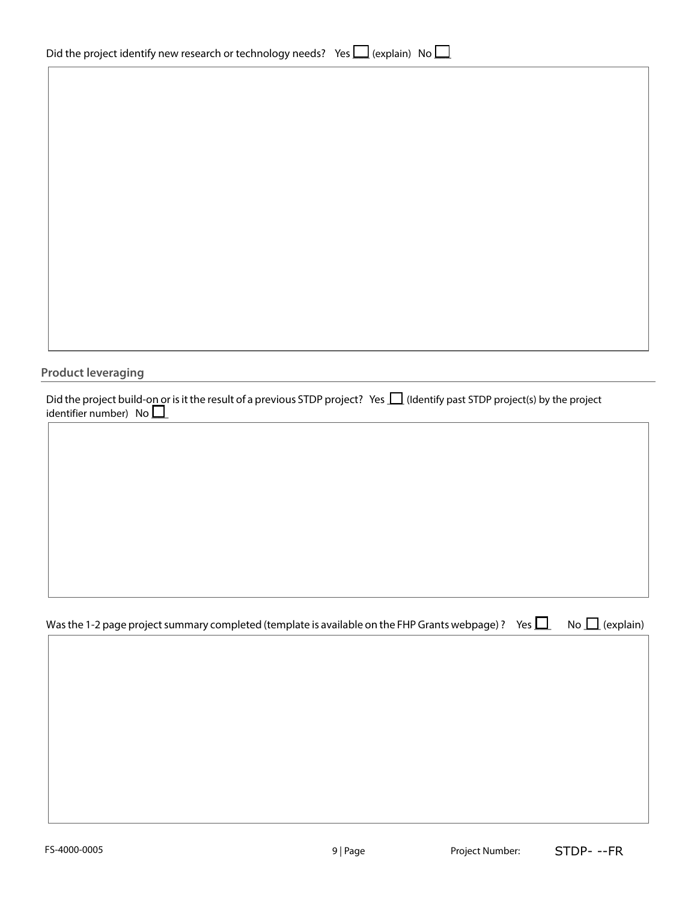| Did the project identify new research or technology needs? Yes $\Box$ (explain) No $\Box$ |  |  |
|-------------------------------------------------------------------------------------------|--|--|
|                                                                                           |  |  |

| <b>Product leveraging</b>                                                                                                                                      |  |  |                     |
|----------------------------------------------------------------------------------------------------------------------------------------------------------------|--|--|---------------------|
| Did the project build-on or is it the result of a previous STDP project? Yes $\Box$ (Identify past STDP project(s) by the project identifier number) No $\Box$ |  |  |                     |
|                                                                                                                                                                |  |  |                     |
|                                                                                                                                                                |  |  |                     |
|                                                                                                                                                                |  |  |                     |
|                                                                                                                                                                |  |  |                     |
|                                                                                                                                                                |  |  |                     |
| Was the 1-2 page project summary completed (template is available on the FHP Grants webpage)? Yes $\Box$                                                       |  |  | No $\Box$ (explain) |
|                                                                                                                                                                |  |  |                     |
|                                                                                                                                                                |  |  |                     |
|                                                                                                                                                                |  |  |                     |
|                                                                                                                                                                |  |  |                     |
|                                                                                                                                                                |  |  |                     |